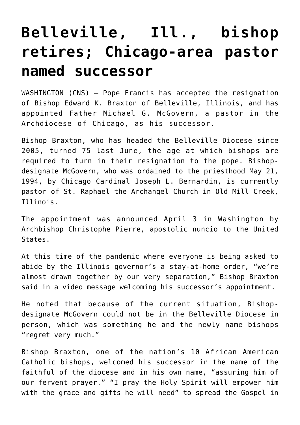## **[Belleville, Ill., bishop](https://www.osvnews.com/2020/04/03/belleville-ill-bishop-retires-chicago-area-pastor-named-successor/) [retires; Chicago-area pastor](https://www.osvnews.com/2020/04/03/belleville-ill-bishop-retires-chicago-area-pastor-named-successor/) [named successor](https://www.osvnews.com/2020/04/03/belleville-ill-bishop-retires-chicago-area-pastor-named-successor/)**

WASHINGTON (CNS) — Pope Francis has accepted the resignation of Bishop Edward K. Braxton of Belleville, Illinois, and has appointed Father Michael G. McGovern, a pastor in the Archdiocese of Chicago, as his successor.

Bishop Braxton, who has headed the Belleville Diocese since 2005, turned 75 last June, the age at which bishops are required to turn in their resignation to the pope. Bishopdesignate McGovern, who was ordained to the priesthood May 21, 1994, by Chicago Cardinal Joseph L. Bernardin, is currently pastor of St. Raphael the Archangel Church in Old Mill Creek, Illinois.

The appointment was announced April 3 in Washington by Archbishop Christophe Pierre, apostolic nuncio to the United States.

At this time of the pandemic where everyone is being asked to abide by the Illinois governor's a stay-at-home order, "we're almost drawn together by our very separation," Bishop Braxton said in a video message welcoming his successor's appointment.

He noted that because of the current situation, Bishopdesignate McGovern could not be in the Belleville Diocese in person, which was something he and the newly name bishops "regret very much."

Bishop Braxton, one of the nation's 10 African American Catholic bishops, welcomed his successor in the name of the faithful of the diocese and in his own name, "assuring him of our fervent prayer." "I pray the Holy Spirit will empower him with the grace and gifts he will need" to spread the Gospel in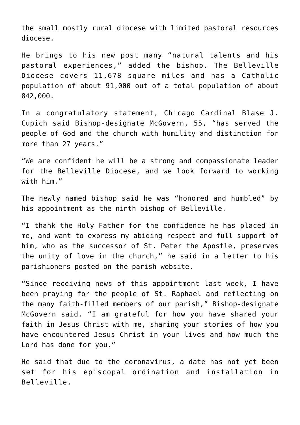the small mostly rural diocese with limited pastoral resources diocese.

He brings to his new post many "natural talents and his pastoral experiences," added the bishop. The Belleville Diocese covers 11,678 square miles and has a Catholic population of about 91,000 out of a total population of about 842,000.

In a congratulatory statement, Chicago Cardinal Blase J. Cupich said Bishop-designate McGovern, 55, "has served the people of God and the church with humility and distinction for more than 27 years."

"We are confident he will be a strong and compassionate leader for the Belleville Diocese, and we look forward to working with him."

The newly named bishop said he was "honored and humbled" by his appointment as the ninth bishop of Belleville.

"I thank the Holy Father for the confidence he has placed in me, and want to express my abiding respect and full support of him, who as the successor of St. Peter the Apostle, preserves the unity of love in the church," he said in a letter to his parishioners posted on the parish website.

"Since receiving news of this appointment last week, I have been praying for the people of St. Raphael and reflecting on the many faith-filled members of our parish," Bishop-designate McGovern said. "I am grateful for how you have shared your faith in Jesus Christ with me, sharing your stories of how you have encountered Jesus Christ in your lives and how much the Lord has done for you."

He said that due to the coronavirus, a date has not yet been set for his episcopal ordination and installation in Belleville.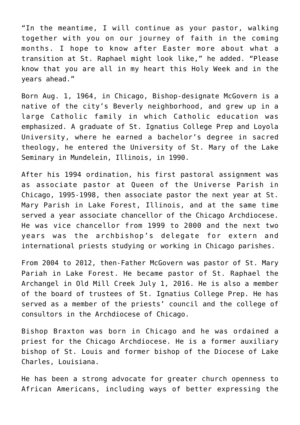"In the meantime, I will continue as your pastor, walking together with you on our journey of faith in the coming months. I hope to know after Easter more about what a transition at St. Raphael might look like," he added. "Please know that you are all in my heart this Holy Week and in the years ahead."

Born Aug. 1, 1964, in Chicago, Bishop-designate McGovern is a native of the city's Beverly neighborhood, and grew up in a large Catholic family in which Catholic education was emphasized. A graduate of St. Ignatius College Prep and Loyola University, where he earned a bachelor's degree in sacred theology, he entered the University of St. Mary of the Lake Seminary in Mundelein, Illinois, in 1990.

After his 1994 ordination, his first pastoral assignment was as associate pastor at Queen of the Universe Parish in Chicago, 1995-1998, then associate pastor the next year at St. Mary Parish in Lake Forest, Illinois, and at the same time served a year associate chancellor of the Chicago Archdiocese. He was vice chancellor from 1999 to 2000 and the next two years was the archbishop's delegate for extern and international priests studying or working in Chicago parishes.

From 2004 to 2012, then-Father McGovern was pastor of St. Mary Pariah in Lake Forest. He became pastor of St. Raphael the Archangel in Old Mill Creek July 1, 2016. He is also a member of the board of trustees of St. Ignatius College Prep. He has served as a member of the priests' council and the college of consultors in the Archdiocese of Chicago.

Bishop Braxton was born in Chicago and he was ordained a priest for the Chicago Archdiocese. He is a former auxiliary bishop of St. Louis and former bishop of the Diocese of Lake Charles, Louisiana.

He has been a strong advocate for greater church openness to African Americans, including ways of better expressing the